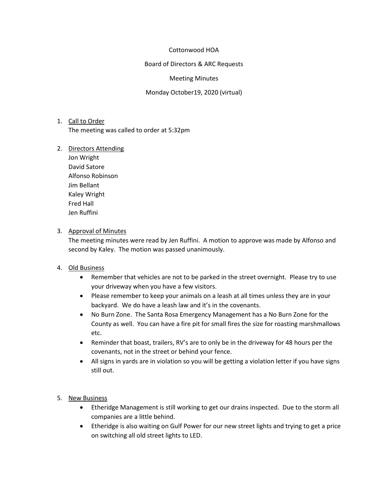### Cottonwood HOA

Board of Directors & ARC Requests

### Meeting Minutes

Monday October19, 2020 (virtual)

# 1. Call to Order The meeting was called to order at 5:32pm

### 2. Directors Attending

Jon Wright David Satore Alfonso Robinson Jim Bellant Kaley Wright Fred Hall Jen Ruffini

### 3. Approval of Minutes

The meeting minutes were read by Jen Ruffini. A motion to approve was made by Alfonso and second by Kaley. The motion was passed unanimously.

# 4. Old Business

- Remember that vehicles are not to be parked in the street overnight. Please try to use your driveway when you have a few visitors.
- Please remember to keep your animals on a leash at all times unless they are in your backyard. We do have a leash law and it's in the covenants.
- No Burn Zone. The Santa Rosa Emergency Management has a No Burn Zone for the County as well. You can have a fire pit for small fires the size for roasting marshmallows etc.
- Reminder that boast, trailers, RV's are to only be in the driveway for 48 hours per the covenants, not in the street or behind your fence.
- All signs in yards are in violation so you will be getting a violation letter if you have signs still out.

# 5. New Business

- Etheridge Management is still working to get our drains inspected. Due to the storm all companies are a little behind.
- Etheridge is also waiting on Gulf Power for our new street lights and trying to get a price on switching all old street lights to LED.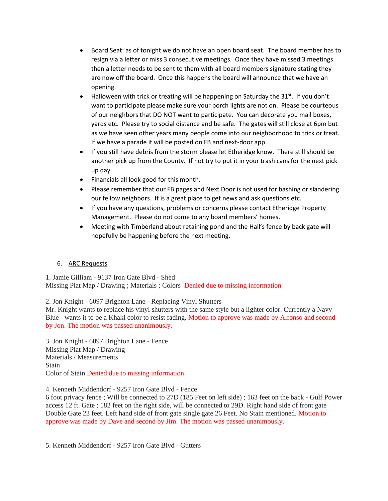- Board Seat: as of tonight we do not have an open board seat. The board member has to resign via a letter or miss 3 consecutive meetings. Once they have missed 3 meetings then a letter needs to be sent to them with all board members signature stating they are now off the board. Once this happens the board will announce that we have an opening.
- Halloween with trick or treating will be happening on Saturday the  $31^{st}$ . If you don't want to participate please make sure your porch lights are not on. Please be courteous of our neighbors that DO NOT want to participate. You can decorate you mail boxes, yards etc. Please try to social distance and be safe. The gates will still close at 6pm but as we have seen other years many people come into our neighborhood to trick or treat. If we have a parade it will be posted on FB and next-door app.
- If you still have debris from the storm please let Etheridge know. There still should be another pick up from the County. If not try to put it in your trash cans for the next pick up day.
- Financials all look good for this month.
- Please remember that our FB pages and Next Door is not used for bashing or slandering our fellow neighbors. It is a great place to get news and ask questions etc.
- If you have any questions, problems or concerns please contact Etheridge Property Management. Please do not come to any board members' homes.
- Meeting with Timberland about retaining pond and the Hall's fence by back gate will hopefully be happening before the next meeting.

# 6. ARC Requests

1. Jamie Gilliam - 9137 Iron Gate Blvd - Shed Missing Plat Map / Drawing ; Materials ; Colors Denied due to missing information

2. Jon Knight - 6097 Brighton Lane - Replacing Vinyl Shutters

Mr. Knight wants to replace his vinyl shutters with the same style but a lighter color. Currently a Navy Blue - wants it to be a Khaki color to resist fading. Motion to approve was made by Alfonso and second by Jon. The motion was passed unanimously.

3. Jon Knight - 6097 Brighton Lane - Fence Missing Plat Map / Drawing Materials / Measurements Stain Color of Stain Denied due to missing information

### 4. Kenneth Middendorf - 9257 Iron Gate Blvd - Fence

6 foot privacy fence ; Will be connected to 27D (185 Feet on left side) ; 163 feet on the back - Gulf Power access 12 ft. Gate ; 182 feet on the right side, will be connected to 29D. Right hand side of front gate Double Gate 23 feet. Left hand side of front gate single gate 26 Feet. No Stain mentioned. Motion to approve was made by Dave and second by Jim. The motion was passed unanimously.

5. Kenneth Middendorf - 9257 Iron Gate Blvd - Gutters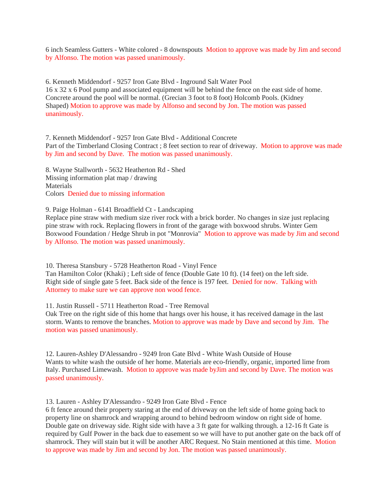6 inch Seamless Gutters - White colored - 8 downspouts Motion to approve was made by Jim and second by Alfonso. The motion was passed unanimously.

6. Kenneth Middendorf - 9257 Iron Gate Blvd - Inground Salt Water Pool 16 x 32 x 6 Pool pump and associated equipment will be behind the fence on the east side of home. Concrete around the pool will be normal. (Grecian 3 foot to 8 foot) Holcomb Pools. (Kidney Shaped) Motion to approve was made by Alfonso and second by Jon. The motion was passed unanimously.

7. Kenneth Middendorf - 9257 Iron Gate Blvd - Additional Concrete Part of the Timberland Closing Contract ; 8 feet section to rear of driveway. Motion to approve was made by Jim and second by Dave. The motion was passed unanimously.

8. Wayne Stallworth - 5632 Heatherton Rd - Shed Missing information plat map / drawing **Materials** Colors Denied due to missing information

9. Paige Holman - 6141 Broadfield Ct - Landscaping

Replace pine straw with medium size river rock with a brick border. No changes in size just replacing pine straw with rock. Replacing flowers in front of the garage with boxwood shrubs. Winter Gem Boxwood Foundation / Hedge Shrub in pot "Monrovia" Motion to approve was made by Jim and second by Alfonso. The motion was passed unanimously.

10. Theresa Stansbury - 5728 Heatherton Road - Vinyl Fence Tan Hamilton Color (Khaki) ; Left side of fence (Double Gate 10 ft). (14 feet) on the left side. Right side of single gate 5 feet. Back side of the fence is 197 feet. Denied for now. Talking with Attorney to make sure we can approve non wood fence.

11. Justin Russell - 5711 Heatherton Road - Tree Removal

Oak Tree on the right side of this home that hangs over his house, it has received damage in the last storm. Wants to remove the branches. Motion to approve was made by Dave and second by Jim. The motion was passed unanimously.

12. Lauren-Ashley D'Alessandro - 9249 Iron Gate Blvd - White Wash Outside of House Wants to white wash the outside of her home. Materials are eco-friendly, organic, imported lime from Italy. Purchased Limewash. Motion to approve was made byJim and second by Dave. The motion was passed unanimously.

13. Lauren - Ashley D'Alessandro - 9249 Iron Gate Blvd - Fence

6 ft fence around their property staring at the end of driveway on the left side of home going back to property line on shamrock and wrapping around to behind bedroom window on right side of home. Double gate on driveway side. Right side with have a 3 ft gate for walking through. a 12-16 ft Gate is required by Gulf Power in the back due to easement so we will have to put another gate on the back off of shamrock. They will stain but it will be another ARC Request. No Stain mentioned at this time. Motion to approve was made by Jim and second by Jon. The motion was passed unanimously.